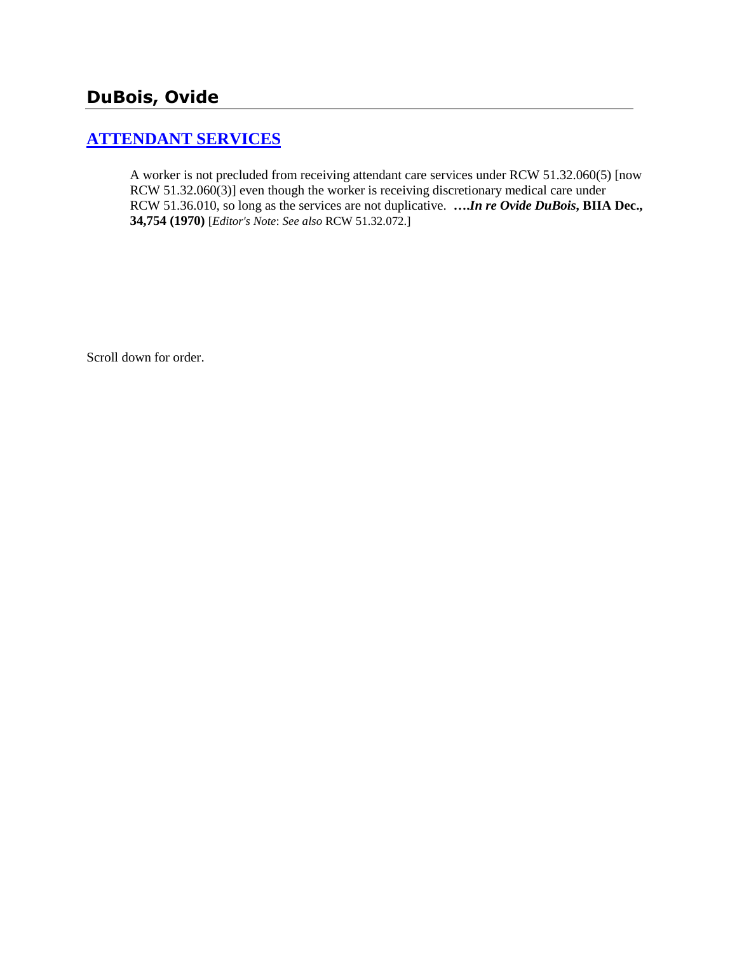# **[ATTENDANT SERVICES](http://www.biia.wa.gov/SDSubjectIndex.html#ATTENDANT_SERVICES)**

A worker is not precluded from receiving attendant care services under RCW 51.32.060(5) [now RCW 51.32.060(3)] even though the worker is receiving discretionary medical care under RCW 51.36.010, so long as the services are not duplicative. **….***In re Ovide DuBois***, BIIA Dec., 34,754 (1970)** [*Editor's Note*: *See also* RCW 51.32.072.]

Scroll down for order.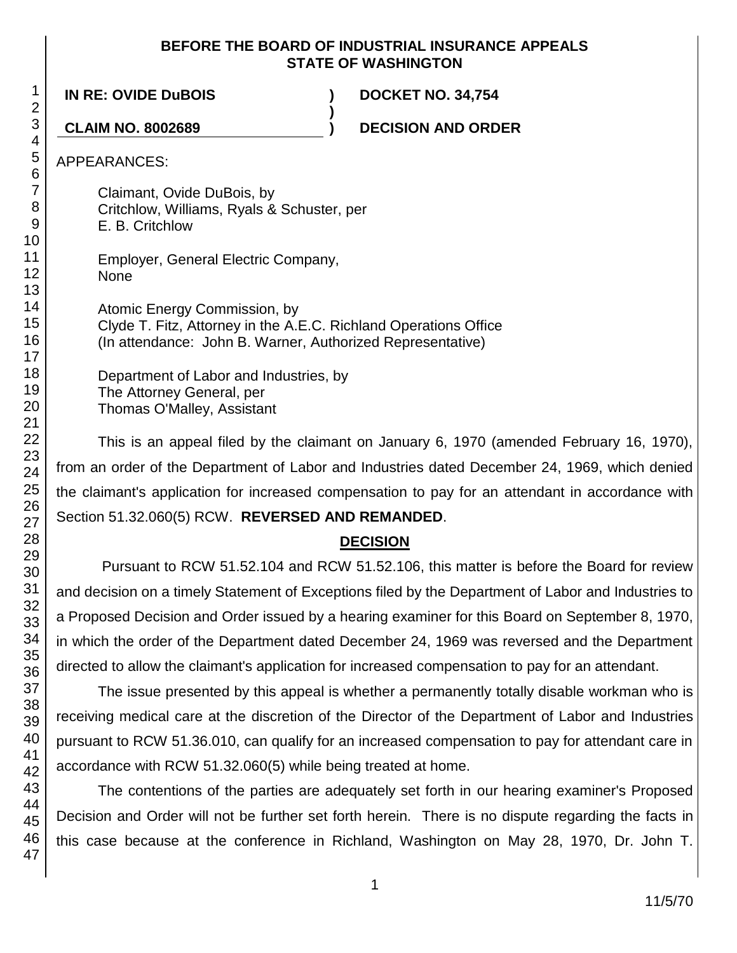### **BEFORE THE BOARD OF INDUSTRIAL INSURANCE APPEALS STATE OF WASHINGTON**

**)**

**IN RE: OVIDE DuBOIS ) DOCKET NO. 34,754**

**CLAIM NO. 8002689 ) DECISION AND ORDER**

APPEARANCES:

Claimant, Ovide DuBois, by Critchlow, Williams, Ryals & Schuster, per E. B. Critchlow

Employer, General Electric Company, None

Atomic Energy Commission, by Clyde T. Fitz, Attorney in the A.E.C. Richland Operations Office (In attendance: John B. Warner, Authorized Representative)

Department of Labor and Industries, by The Attorney General, per Thomas O'Malley, Assistant

This is an appeal filed by the claimant on January 6, 1970 (amended February 16, 1970), from an order of the Department of Labor and Industries dated December 24, 1969, which denied the claimant's application for increased compensation to pay for an attendant in accordance with Section 51.32.060(5) RCW. **REVERSED AND REMANDED**.

## **DECISION**

Pursuant to RCW 51.52.104 and RCW 51.52.106, this matter is before the Board for review and decision on a timely Statement of Exceptions filed by the Department of Labor and Industries to a Proposed Decision and Order issued by a hearing examiner for this Board on September 8, 1970, in which the order of the Department dated December 24, 1969 was reversed and the Department directed to allow the claimant's application for increased compensation to pay for an attendant.

The issue presented by this appeal is whether a permanently totally disable workman who is receiving medical care at the discretion of the Director of the Department of Labor and Industries pursuant to RCW 51.36.010, can qualify for an increased compensation to pay for attendant care in accordance with RCW 51.32.060(5) while being treated at home.

The contentions of the parties are adequately set forth in our hearing examiner's Proposed Decision and Order will not be further set forth herein. There is no dispute regarding the facts in this case because at the conference in Richland, Washington on May 28, 1970, Dr. John T.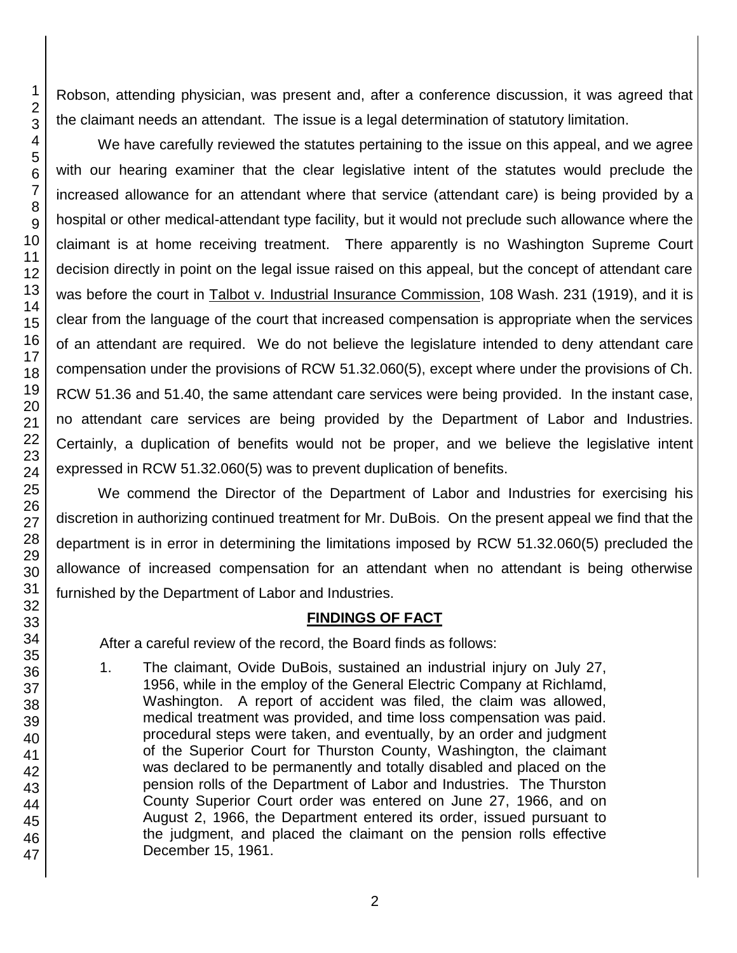46 47

Robson, attending physician, was present and, after a conference discussion, it was agreed that the claimant needs an attendant. The issue is a legal determination of statutory limitation.

We have carefully reviewed the statutes pertaining to the issue on this appeal, and we agree with our hearing examiner that the clear legislative intent of the statutes would preclude the increased allowance for an attendant where that service (attendant care) is being provided by a hospital or other medical-attendant type facility, but it would not preclude such allowance where the claimant is at home receiving treatment. There apparently is no Washington Supreme Court decision directly in point on the legal issue raised on this appeal, but the concept of attendant care was before the court in Talbot v. Industrial Insurance Commission, 108 Wash. 231 (1919), and it is clear from the language of the court that increased compensation is appropriate when the services of an attendant are required. We do not believe the legislature intended to deny attendant care compensation under the provisions of RCW 51.32.060(5), except where under the provisions of Ch. RCW 51.36 and 51.40, the same attendant care services were being provided. In the instant case, no attendant care services are being provided by the Department of Labor and Industries. Certainly, a duplication of benefits would not be proper, and we believe the legislative intent expressed in RCW 51.32.060(5) was to prevent duplication of benefits.

We commend the Director of the Department of Labor and Industries for exercising his discretion in authorizing continued treatment for Mr. DuBois. On the present appeal we find that the department is in error in determining the limitations imposed by RCW 51.32.060(5) precluded the allowance of increased compensation for an attendant when no attendant is being otherwise furnished by the Department of Labor and Industries.

## **FINDINGS OF FACT**

After a careful review of the record, the Board finds as follows:

1. The claimant, Ovide DuBois, sustained an industrial injury on July 27, 1956, while in the employ of the General Electric Company at Richlamd, Washington. A report of accident was filed, the claim was allowed, medical treatment was provided, and time loss compensation was paid. procedural steps were taken, and eventually, by an order and judgment of the Superior Court for Thurston County, Washington, the claimant was declared to be permanently and totally disabled and placed on the pension rolls of the Department of Labor and Industries. The Thurston County Superior Court order was entered on June 27, 1966, and on August 2, 1966, the Department entered its order, issued pursuant to the judgment, and placed the claimant on the pension rolls effective December 15, 1961.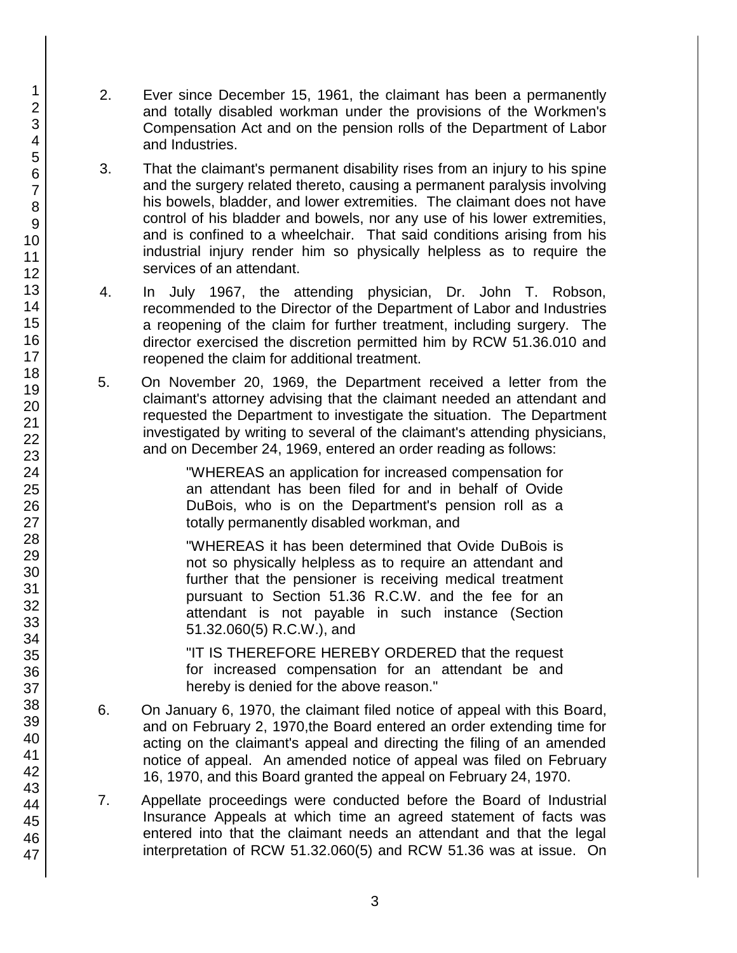- 2. Ever since December 15, 1961, the claimant has been a permanently and totally disabled workman under the provisions of the Workmen's Compensation Act and on the pension rolls of the Department of Labor and Industries.
- 3. That the claimant's permanent disability rises from an injury to his spine and the surgery related thereto, causing a permanent paralysis involving his bowels, bladder, and lower extremities. The claimant does not have control of his bladder and bowels, nor any use of his lower extremities, and is confined to a wheelchair. That said conditions arising from his industrial injury render him so physically helpless as to require the services of an attendant.
- 4. In July 1967, the attending physician, Dr. John T. Robson, recommended to the Director of the Department of Labor and Industries a reopening of the claim for further treatment, including surgery. The director exercised the discretion permitted him by RCW 51.36.010 and reopened the claim for additional treatment.
- 5. On November 20, 1969, the Department received a letter from the claimant's attorney advising that the claimant needed an attendant and requested the Department to investigate the situation. The Department investigated by writing to several of the claimant's attending physicians, and on December 24, 1969, entered an order reading as follows:

"WHEREAS an application for increased compensation for an attendant has been filed for and in behalf of Ovide DuBois, who is on the Department's pension roll as a totally permanently disabled workman, and

"WHEREAS it has been determined that Ovide DuBois is not so physically helpless as to require an attendant and further that the pensioner is receiving medical treatment pursuant to Section 51.36 R.C.W. and the fee for an attendant is not payable in such instance (Section 51.32.060(5) R.C.W.), and

"IT IS THEREFORE HEREBY ORDERED that the request for increased compensation for an attendant be and hereby is denied for the above reason."

- 6. On January 6, 1970, the claimant filed notice of appeal with this Board, and on February 2, 1970,the Board entered an order extending time for acting on the claimant's appeal and directing the filing of an amended notice of appeal. An amended notice of appeal was filed on February 16, 1970, and this Board granted the appeal on February 24, 1970.
- 7. Appellate proceedings were conducted before the Board of Industrial Insurance Appeals at which time an agreed statement of facts was entered into that the claimant needs an attendant and that the legal interpretation of RCW 51.32.060(5) and RCW 51.36 was at issue. On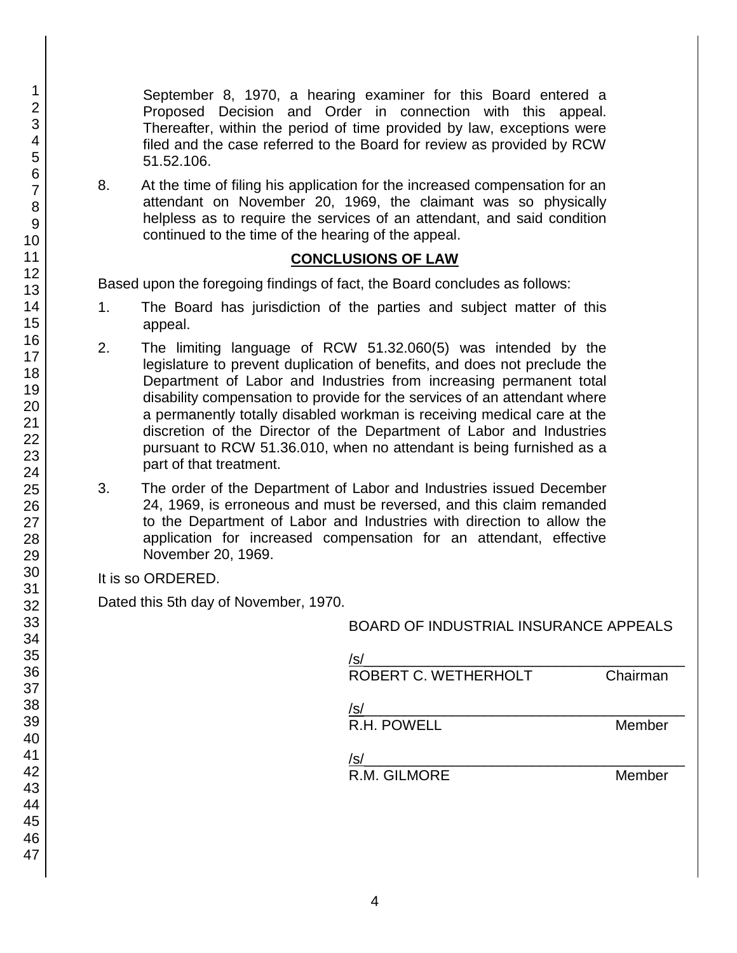September 8, 1970, a hearing examiner for this Board entered a Proposed Decision and Order in connection with this appeal. Thereafter, within the period of time provided by law, exceptions were filed and the case referred to the Board for review as provided by RCW 51.52.106.

8. At the time of filing his application for the increased compensation for an attendant on November 20, 1969, the claimant was so physically helpless as to require the services of an attendant, and said condition continued to the time of the hearing of the appeal.

#### **CONCLUSIONS OF LAW**

Based upon the foregoing findings of fact, the Board concludes as follows:

- 1. The Board has jurisdiction of the parties and subject matter of this appeal.
- 2. The limiting language of RCW 51.32.060(5) was intended by the legislature to prevent duplication of benefits, and does not preclude the Department of Labor and Industries from increasing permanent total disability compensation to provide for the services of an attendant where a permanently totally disabled workman is receiving medical care at the discretion of the Director of the Department of Labor and Industries pursuant to RCW 51.36.010, when no attendant is being furnished as a part of that treatment.
- 3. The order of the Department of Labor and Industries issued December 24, 1969, is erroneous and must be reversed, and this claim remanded to the Department of Labor and Industries with direction to allow the application for increased compensation for an attendant, effective November 20, 1969.

It is so ORDERED.

Dated this 5th day of November, 1970.

| BOARD OF INDUSTRIAL INSURANCE APPEALS |  |  |  |  |
|---------------------------------------|--|--|--|--|
|                                       |  |  |  |  |

| Chairman |
|----------|
| Member   |
| Member   |
|          |